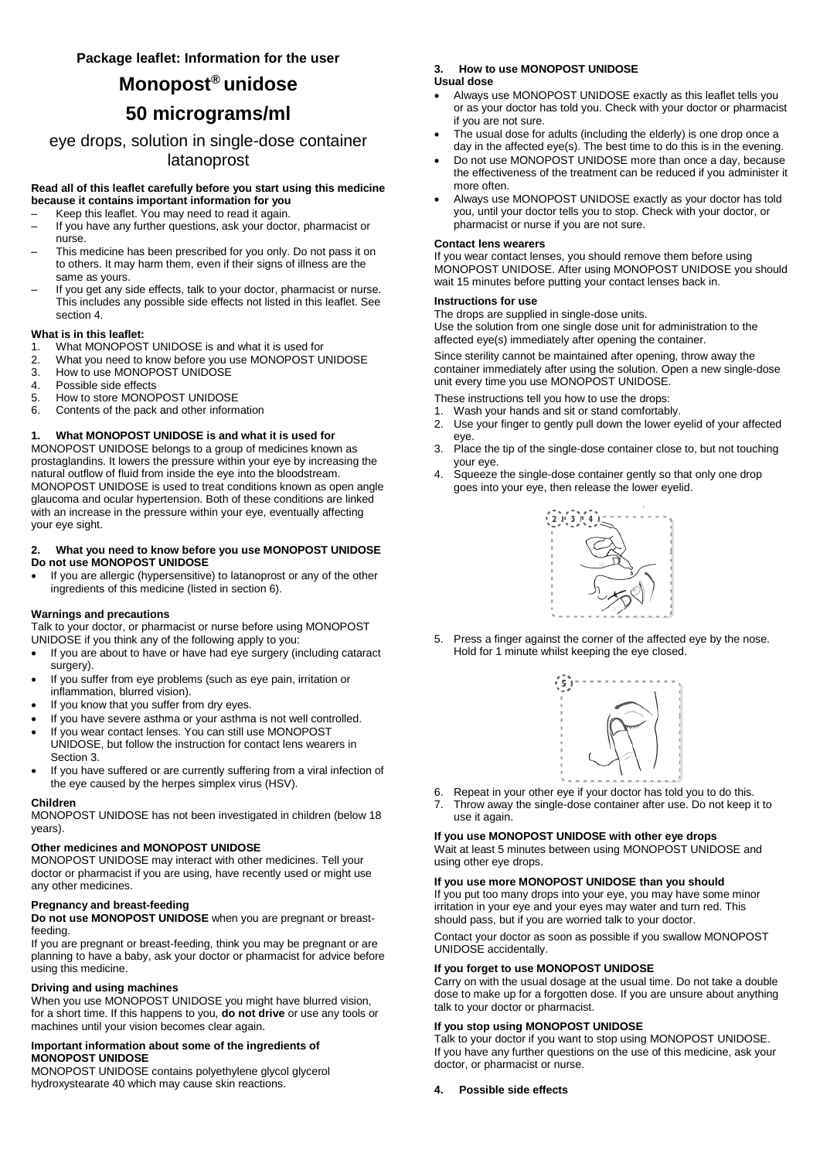# **Monopost® unidose**

# **50 micrograms/ml**

eye drops, solution in single-dose container latanoprost

## **Read all of this leaflet carefully before you start using this medicine because it contains important information for you**

- Keep this leaflet. You may need to read it again.
- If you have any further questions, ask your doctor, pharmacist or nurse.
- This medicine has been prescribed for you only. Do not pass it on to others. It may harm them, even if their signs of illness are the same as yours.
- If you get any side effects, talk to your doctor, pharmacist or nurse. This includes any possible side effects not listed in this leaflet. See section 4.

#### **What is in this leaflet:**

- 1. What MONOPOST UNIDOSE is and what it is used for
- 2. What you need to know before you use MONOPOST UNIDOSE<br>3. How to use MONOPOST UNIDOSE
- How to use MONOPOST UNIDOSE
- 4. Possible side effects
- 5. How to store MONOPOST UNIDOSE<br>6. Contents of the pack and other inform
- Contents of the pack and other information

#### **1. What MONOPOST UNIDOSE is and what it is used for**

MONOPOST UNIDOSE belongs to a group of medicines known as prostaglandins. It lowers the pressure within your eye by increasing the natural outflow of fluid from inside the eye into the bloodstream. MONOPOST UNIDOSE is used to treat conditions known as open angle glaucoma and ocular hypertension. Both of these conditions are linked with an increase in the pressure within your eye, eventually affecting your eye sight.

#### **2. What you need to know before you use MONOPOST UNIDOSE Do not use MONOPOST UNIDOSE**

 If you are allergic (hypersensitive) to latanoprost or any of the other ingredients of this medicine (listed in section 6).

#### **Warnings and precautions**

Talk to your doctor, or pharmacist or nurse before using MONOPOST UNIDOSE if you think any of the following apply to you:

- If you are about to have or have had eye surgery (including cataract surgery).
- If you suffer from eye problems (such as eye pain, irritation or inflammation, blurred vision).
- If you know that you suffer from dry eyes.
- If you have severe asthma or your asthma is not well controlled.
- If you wear contact lenses. You can still use MONOPOST UNIDOSE, but follow the instruction for contact lens wearers in Section 3.
- If you have suffered or are currently suffering from a viral infection of the eye caused by the herpes simplex virus (HSV).

#### **Children**

MONOPOST UNIDOSE has not been investigated in children (below 18 years).

# **Other medicines and MONOPOST UNIDOSE**

MONOPOST UNIDOSE may interact with other medicines. Tell your doctor or pharmacist if you are using, have recently used or might use any other medicines.

#### **Pregnancy and breast-feeding**

**Do not use MONOPOST UNIDOSE** when you are pregnant or breastfeeding.

If you are pregnant or breast-feeding, think you may be pregnant or are planning to have a baby, ask your doctor or pharmacist for advice before using this medicine.

#### **Driving and using machines**

When you use MONOPOST UNIDOSE you might have blurred vision, for a short time. If this happens to you, **do not drive** or use any tools or machines until your vision becomes clear again.

#### **Important information about some of the ingredients of MONOPOST UNIDOSE**

MONOPOST UNIDOSE contains polyethylene glycol glycerol hydroxystearate 40 which may cause skin reactions.

#### **3. How to use MONOPOST UNIDOSE Usual dose**

- Always use MONOPOST UNIDOSE exactly as this leaflet tells you or as your doctor has told you. Check with your doctor or pharmacist if you are not sure.
- The usual dose for adults (including the elderly) is one drop once a day in the affected eye(s). The best time to do this is in the evening.
- Do not use MONOPOST UNIDOSE more than once a day, because the effectiveness of the treatment can be reduced if you administer it more often.
- Always use MONOPOST UNIDOSE exactly as your doctor has told you, until your doctor tells you to stop. Check with your doctor, or pharmacist or nurse if you are not sure.

#### **Contact lens wearers**

If you wear contact lenses, you should remove them before using MONOPOST UNIDOSE. After using MONOPOST UNIDOSE you should wait 15 minutes before putting your contact lenses back in.

#### **Instructions for use**

The drops are supplied in single-dose units. Use the solution from one single dose unit for administration to the affected eye(s) immediately after opening the container.

Since sterility cannot be maintained after opening, throw away the container immediately after using the solution. Open a new single-dose unit every time you use MONOPOST UNIDOSE.

These instructions tell you how to use the drops:

- 1. Wash your hands and sit or stand comfortably.
- 2. Use your finger to gently pull down the lower eyelid of your affected eye.
- 3. Place the tip of the single-dose container close to, but not touching your eye.
- 4. Squeeze the single-dose container gently so that only one drop goes into your eye, then release the lower eyelid.



5. Press a finger against the corner of the affected eye by the nose. Hold for 1 minute whilst keeping the eye closed.



- 6. Repeat in your other eye if your doctor has told you to do this.
- 7. Throw away the single-dose container after use. Do not keep it to use it again.

# **If you use MONOPOST UNIDOSE with other eye drops**

Wait at least 5 minutes between using MONOPOST UNIDOSE and using other eye drops.

# **If you use more MONOPOST UNIDOSE than you should**

If you put too many drops into your eye, you may have some minor irritation in your eye and your eyes may water and turn red. This should pass, but if you are worried talk to your doctor.

Contact your doctor as soon as possible if you swallow MONOPOST UNIDOSE accidentally.

#### **If you forget to use MONOPOST UNIDOSE**

Carry on with the usual dosage at the usual time. Do not take a double dose to make up for a forgotten dose. If you are unsure about anything talk to your doctor or pharmacist.

# **If you stop using MONOPOST UNIDOSE**

Talk to your doctor if you want to stop using MONOPOST UNIDOSE. If you have any further questions on the use of this medicine, ask your doctor, or pharmacist or nurse.

#### **4. Possible side effects**